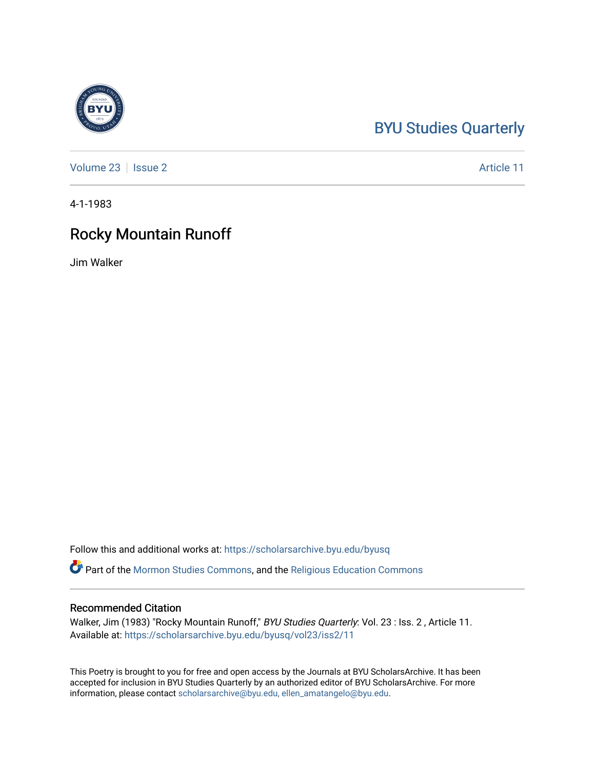## [BYU Studies Quarterly](https://scholarsarchive.byu.edu/byusq)

[Volume 23](https://scholarsarchive.byu.edu/byusq/vol23) | [Issue 2](https://scholarsarchive.byu.edu/byusq/vol23/iss2) Article 11

4-1-1983

### Rocky Mountain Runoff

Jim Walker

Follow this and additional works at: [https://scholarsarchive.byu.edu/byusq](https://scholarsarchive.byu.edu/byusq?utm_source=scholarsarchive.byu.edu%2Fbyusq%2Fvol23%2Fiss2%2F11&utm_medium=PDF&utm_campaign=PDFCoverPages) 

Part of the [Mormon Studies Commons](http://network.bepress.com/hgg/discipline/1360?utm_source=scholarsarchive.byu.edu%2Fbyusq%2Fvol23%2Fiss2%2F11&utm_medium=PDF&utm_campaign=PDFCoverPages), and the [Religious Education Commons](http://network.bepress.com/hgg/discipline/1414?utm_source=scholarsarchive.byu.edu%2Fbyusq%2Fvol23%2Fiss2%2F11&utm_medium=PDF&utm_campaign=PDFCoverPages) 

#### Recommended Citation

Walker, Jim (1983) "Rocky Mountain Runoff," BYU Studies Quarterly: Vol. 23 : Iss. 2, Article 11. Available at: [https://scholarsarchive.byu.edu/byusq/vol23/iss2/11](https://scholarsarchive.byu.edu/byusq/vol23/iss2/11?utm_source=scholarsarchive.byu.edu%2Fbyusq%2Fvol23%2Fiss2%2F11&utm_medium=PDF&utm_campaign=PDFCoverPages) 

This Poetry is brought to you for free and open access by the Journals at BYU ScholarsArchive. It has been accepted for inclusion in BYU Studies Quarterly by an authorized editor of BYU ScholarsArchive. For more information, please contact [scholarsarchive@byu.edu, ellen\\_amatangelo@byu.edu.](mailto:scholarsarchive@byu.edu,%20ellen_amatangelo@byu.edu)